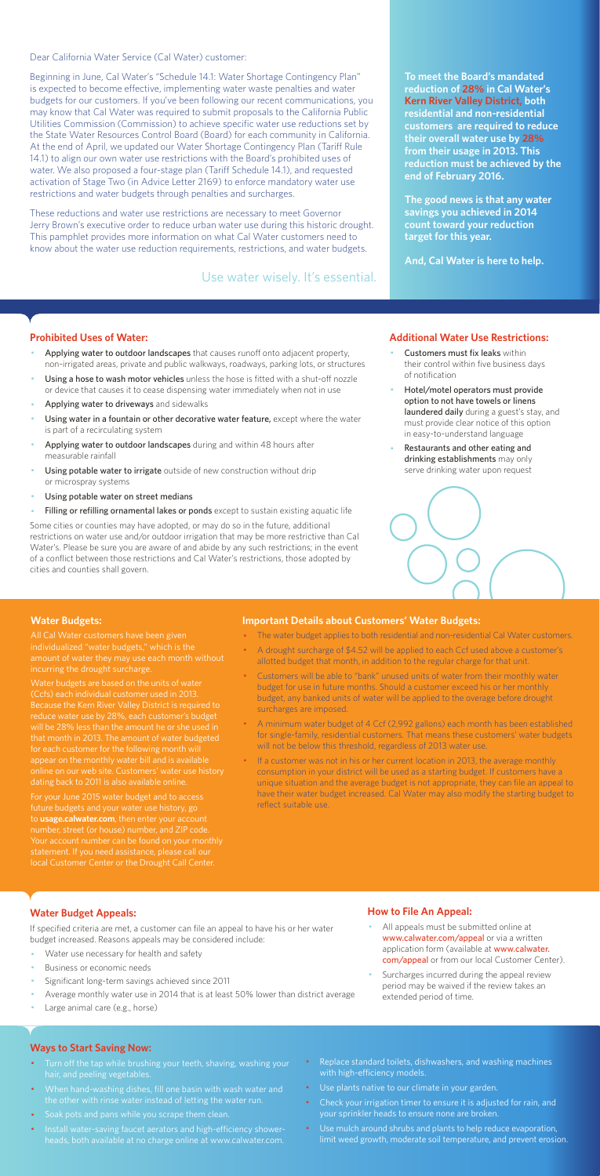Dear California Water Service (Cal Water) customer:

Beginning in June, Cal Water's "Schedule 14.1: Water Shortage Contingency Plan" is expected to become effective, implementing water waste penalties and water budgets for our customers. If you've been following our recent communications, you may know that Cal Water was required to submit proposals to the California Public Utilities Commission (Commission) to achieve specific water use reductions set by the State Water Resources Control Board (Board) for each community in California. At the end of April, we updated our Water Shortage Contingency Plan (Tariff Rule 14.1) to align our own water use restrictions with the Board's prohibited uses of water. We also proposed a four-stage plan (Tariff Schedule 14.1), and requested activation of Stage Two (in Advice Letter 2169) to enforce mandatory water use restrictions and water budgets through penalties and surcharges.

These reductions and water use restrictions are necessary to meet Governor Jerry Brown's executive order to reduce urban water use during this historic drought. This pamphlet provides more information on what Cal Water customers need to know about the water use reduction requirements, restrictions, and water budgets.

#### **Prohibited Uses of Water:**

- Applying water to outdoor landscapes that causes runoff onto adjacent property, non-irrigated areas, private and public walkways, roadways, parking lots, or structures
- Using a hose to wash motor vehicles unless the hose is fitted with a shut-off nozzle or device that causes it to cease dispensing water immediately when not in use
- Applying water to driveways and sidewalks
- Using water in a fountain or other decorative water feature, except where the water is part of a recirculating system
- Applying water to outdoor landscapes during and within 48 hours after measurable rainfall
- Using potable water to irrigate outside of new construction without drip or microspray systems
- Using potable water on street medians
- Filling or refilling ornamental lakes or ponds except to sustain existing aquatic life
- Customers must fix leaks within their control within five business days of notification
- Hotel/motel operators must provide option to not have towels or linens laundered daily during a guest's stay, and must provide clear notice of this option in easy-to-understand language
- Restaurants and other eating and drinking establishments may only serve drinking water upon request



- All appeals must be submitted online at www.calwater.com/appeal or via a written application form (available at www.calwater. com/appeal or from our local Customer Center).
- · Surcharges incurred during the appeal review period may be waived if the review takes an extended period of time.

Some cities or counties may have adopted, or may do so in the future, additional restrictions on water use and/or outdoor irrigation that may be more restrictive than Cal Water's. Please be sure you are aware of and abide by any such restrictions; in the event of a conflict between those restrictions and Cal Water's restrictions, those adopted by cities and counties shall govern.

- Turn off the tap while brushing your teeth, shaving, washing your hair, and peeling vegetables.
- · When hand-washing dishes, fill one basin with wash water and the other with rinse water instead of letting the water run.
- · Soak pots and pans while you scrape them clean.
- · Install water-saving faucet aerators and high-efficiency showerheads, both available at no charge online at www.calwater.com.
- Replace standard toilets, dishwashers, and washing machines with high-efficiency models.
- · Use plants native to our climate in your garden.
- Check your irrigation timer to ensure it is adjusted for rain, and your sprinkler heads to ensure none are broken.
- · Use mulch around shrubs and plants to help reduce evaporation, limit weed growth, moderate soil temperature, and prevent erosion.

**To meet the Board's mandated reduction of 28% in Cal Water's Kern River Valley District, both residential and non-residential customers are required to reduce their overall water use by 28% from their usage in 2013. This reduction must be achieved by the end of February 2016.** 

**The good news is that any water savings you achieved in 2014 count toward your reduction target for this year.** 

**And, Cal Water is here to help.** 

#### **Additional Water Use Restrictions:**

### **Water Budget Appeals:**

If specified criteria are met, a customer can file an appeal to have his or her water budget increased. Reasons appeals may be considered include:

- Water use necessary for health and safety
- Business or economic needs
- Significant long-term savings achieved since 2011
- Average monthly water use in 2014 that is at least 50% lower than district average
- Large animal care (e.g., horse)

If a customer was not in his or her current location in 2013, the average monthly consumption in your district will be used as a starting budget. If customers have a unique situation and the average budget is not appropriate, they can file an appeal to have their water budget increased. Cal Water may also modify the starting budget to reflect suitable use.

## **How to File An Appeal:**

#### **Ways to Start Saving Now:**

Use water wisely. It's essential.

#### **Water Budgets:**

individualized "water budgets," which is the incurring the drought surcharge.

Water budgets are based on the units of water reduce water use by 28%, each customer's budget will be 28% less than the amount he or she used in that month in 2013. The amount of water budgeted for each customer for the following month will appear on the monthly water bill and is available dating back to 2011 is also available online.

For your June 2015 water budget and to access future budgets and your water use history, go to **usage.calwater.com**, then enter your account number, street (or house) number, and ZIP code. local Customer Center or the Drought Call Center.

#### **Important Details about Customers' Water Budgets:**

- · The water budget applies to both residential and non-residential Cal Water customers.
- A drought surcharge of \$4.52 will be applied to each Ccf used above a customer's allotted budget that month, in addition to the regular charge for that unit.
- · Customers will be able to "bank" unused units of water from their monthly water budget for use in future months. Should a customer exceed his or her monthly budget, any banked units of water will be applied to the overage before drought surcharges are imposed.
- · A minimum water budget of 4 Ccf (2,992 gallons) each month has been established for single-family, residential customers. That means these customers' water budgets will not be below this threshold, regardless of 2013 water use.